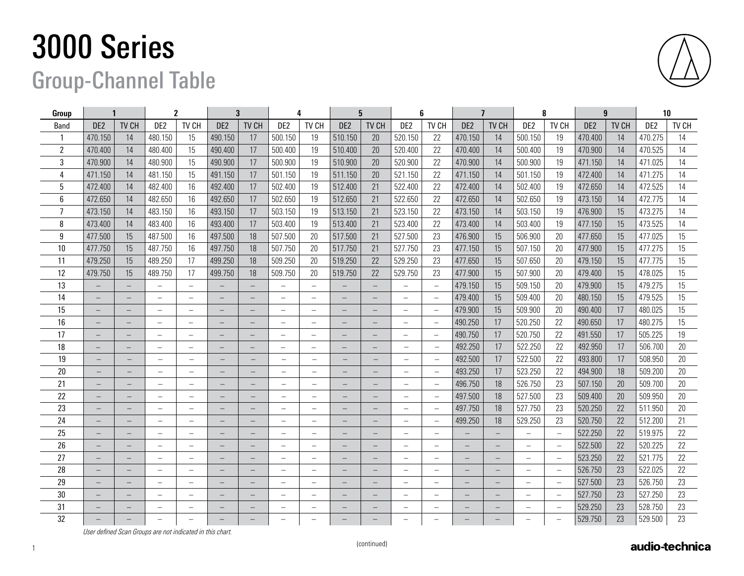## 3000 Series

## Group-Channel Table

| <b>Group</b>   | $\mathbf{2}$<br>$\mathbf 1$ |                          | 3                        |                          | 4                        |                          | 5                        |                                 | 6                        |                          | $\overline{\mathbf{z}}$  |                          | 8                        |                   | 9                        |                          | 10              |       |                 |       |
|----------------|-----------------------------|--------------------------|--------------------------|--------------------------|--------------------------|--------------------------|--------------------------|---------------------------------|--------------------------|--------------------------|--------------------------|--------------------------|--------------------------|-------------------|--------------------------|--------------------------|-----------------|-------|-----------------|-------|
| <b>Band</b>    | DE <sub>2</sub>             | TV CH                    | DE <sub>2</sub>          | TV CH                    | DE <sub>2</sub>          | TV CH                    | DE <sub>2</sub>          | TV CH                           | DE <sub>2</sub>          | TV CH                    | DE <sub>2</sub>          | TV CH                    | DE <sub>2</sub>          | TV CH             | DE2                      | TV CH                    | DE <sub>2</sub> | TV CH | DE <sub>2</sub> | TV CH |
|                | 470.150                     | 14                       | 480.150                  | 15                       | 490.150                  | 17                       | 500.150                  | 19                              | 510.150                  | 20                       | 520.150                  | 22                       | 470.150                  | 14                | 500.150                  | 19                       | 470.400         | 14    | 470.275         | 14    |
| $\overline{2}$ | 470.400                     | 14                       | 480.400                  | 15                       | 490.400                  | 17                       | 500.400                  | 19                              | 510.400                  | 20                       | 520.400                  | 22                       | 470.400                  | 14                | 500.400                  | 19                       | 470.900         | 14    | 470.525         | 14    |
| 3              | 470.900                     | 14                       | 480.900                  | 15                       | 490.900                  | 17                       | 500.900                  | 19                              | 510.900                  | 20                       | 520.900                  | 22                       | 470.900                  | 14                | 500.900                  | 19                       | 471.150         | 14    | 471.025         | 14    |
| $\overline{4}$ | 471.150                     | 14                       | 481.150                  | 15                       | 491.150                  | 17                       | 501.150                  | 19                              | 511.150                  | 20                       | 521.150                  | 22                       | 471.150                  | 14                | 501.150                  | 19                       | 472.400         | 14    | 471.275         | 14    |
| 5              | 472.400                     | 14                       | 482.400                  | 16                       | 492.400                  | 17                       | 502.400                  | 19                              | 512.400                  | 21                       | 522.400                  | 22                       | 472.400                  | 14                | 502.400                  | 19                       | 472.650         | 14    | 472.525         | 14    |
| $6\phantom{1}$ | 472.650                     | 14                       | 482.650                  | 16                       | 492.650                  | 17                       | 502.650                  | 19                              | 512.650                  | 21                       | 522.650                  | 22                       | 472.650                  | 14                | 502.650                  | 19                       | 473.150         | 14    | 472.775         | 14    |
| $\overline{7}$ | 473.150                     | 14                       | 483.150                  | 16                       | 493.150                  | 17                       | 503.150                  | 19                              | 513.150                  | 21                       | 523.150                  | 22                       | 473.150                  | 14                | 503.150                  | 19                       | 476.900         | 15    | 473.275         | 14    |
| 8              | 473.400                     | 14                       | 483.400                  | 16                       | 493.400                  | 17                       | 503.400                  | 19                              | 513.400                  | 21                       | 523.400                  | 22                       | 473.400                  | 14                | 503.400                  | 19                       | 477.150         | 15    | 473.525         | 14    |
| 9              | 477.500                     | 15                       | 487.500                  | 16                       | 497.500                  | 18                       | 507.500                  | 20                              | 517.500                  | 21                       | 527.500                  | 23                       | 476.900                  | 15                | 506.900                  | 20                       | 477.650         | 15    | 477.025         | 15    |
| 10             | 477.750                     | 15                       | 487.750                  | 16                       | 497.750                  | 18                       | 507.750                  | 20                              | 517.750                  | 21                       | 527.750                  | 23                       | 477.150                  | 15                | 507.150                  | 20                       | 477.900         | 15    | 477.275         | 15    |
| 11             | 479.250                     | 15                       | 489.250                  | 17                       | 499.250                  | 18                       | 509.250                  | 20                              | 519.250                  | 22                       | 529.250                  | 23                       | 477.650                  | 15                | 507.650                  | 20                       | 479.150         | 15    | 477.775         | 15    |
| 12             | 479.750                     | 15                       | 489.750                  | 17                       | 499.750                  | 18                       | 509.750                  | 20                              | 519.750                  | 22                       | 529.750                  | 23                       | 477.900                  | 15                | 507.900                  | 20                       | 479.400         | 15    | 478.025         | 15    |
| 13             |                             | $\overline{\phantom{0}}$ | $\qquad \qquad -$        | $\qquad \qquad -$        |                          |                          |                          | $\overline{\phantom{0}}$        |                          | $\overline{\phantom{m}}$ |                          | $\overline{\phantom{0}}$ | 479.150                  | 15                | 509.150                  | 20                       | 479.900         | 15    | 479.275         | 15    |
| 14             |                             | $\qquad \qquad -$        |                          | $\overline{\phantom{0}}$ |                          | $\qquad \qquad -$        |                          | $\overline{\phantom{0}}$        |                          | $\qquad \qquad -$        |                          | $\overline{\phantom{0}}$ | 479.400                  | 15                | 509.400                  | 20                       | 480.150         | 15    | 479.525         | 15    |
| 15             |                             |                          |                          | $\qquad \qquad -$        |                          |                          |                          | $\overline{\phantom{0}}$        |                          |                          |                          | $\overline{\phantom{m}}$ | 479.900                  | 15                | 509.900                  | 20                       | 490.400         | 17    | 480.025         | 15    |
| 16             |                             |                          | $\overline{\phantom{0}}$ | $\overline{\phantom{0}}$ |                          |                          | $\overline{\phantom{0}}$ | $\overline{\phantom{0}}$        |                          |                          | $\overline{\phantom{0}}$ | $\overline{\phantom{m}}$ | 490.250                  | 17                | 520.250                  | 22                       | 490.650         | 17    | 480.275         | 15    |
| 17             |                             | $\overline{\phantom{0}}$ | $\overline{\phantom{0}}$ |                          |                          | -                        | $\overline{\phantom{0}}$ | $\qquad \qquad -$               |                          | -                        | $\overline{\phantom{a}}$ | $\overline{\phantom{m}}$ | 490.750                  | 17                | 520.750                  | 22                       | 491.550         | 17    | 505.225         | 19    |
| 18             |                             | $\overline{\phantom{0}}$ | $\overline{\phantom{0}}$ | $\overline{\phantom{0}}$ |                          | $\overline{\phantom{0}}$ | $\overline{\phantom{0}}$ | $\overline{\phantom{0}}$        |                          | $\qquad \qquad -$        | $\overline{\phantom{0}}$ | $\qquad \qquad -$        | 492.250                  | 17                | 522.250                  | 22                       | 492.950         | 17    | 506.700         | 20    |
| 19             |                             |                          | $\overline{\phantom{0}}$ | $\qquad \qquad -$        | $\overline{\phantom{0}}$ |                          | $\overline{\phantom{0}}$ | $\overline{a}$                  |                          | $\qquad \qquad -$        |                          | $\qquad \qquad -$        | 492.500                  | 17                | 522.500                  | 22                       | 493.800         | 17    | 508.950         | 20    |
| 20             |                             |                          | $\qquad \qquad -$        | $\overline{\phantom{0}}$ | $\qquad \qquad -$        |                          | $\qquad \qquad -$        | $\overbrace{\phantom{1232211}}$ |                          |                          | $\overline{\phantom{0}}$ | $\overline{\phantom{0}}$ | 493.250                  | 17                | 523.250                  | 22                       | 494.900         | 18    | 509.200         | 20    |
| 21             |                             |                          |                          | $\overline{\phantom{0}}$ |                          |                          |                          | $\overline{\phantom{0}}$        |                          |                          |                          | $\overline{\phantom{0}}$ | 496.750                  | 18                | 526.750                  | 23                       | 507.150         | 20    | 509.700         | 20    |
| 22             |                             | $\overline{\phantom{0}}$ | $\overline{\phantom{0}}$ | $\overline{\phantom{m}}$ | $\overline{\phantom{0}}$ | $\qquad \qquad -$        | $\overline{\phantom{0}}$ | $\overline{\phantom{m}}$        |                          | $\overline{\phantom{0}}$ | $\overline{\phantom{0}}$ | $\overline{\phantom{0}}$ | 497.500                  | 18                | 527.500                  | 23                       | 509.400         | 20    | 509.950         | 20    |
| 23             |                             | $\overline{\phantom{0}}$ |                          | $\overline{\phantom{0}}$ |                          | $\overline{\phantom{0}}$ |                          | $\overline{\phantom{a}}$        |                          | $\overline{\phantom{0}}$ |                          | $\overline{\phantom{m}}$ | 497.750                  | 18                | 527.750                  | 23                       | 520.250         | 22    | 511.950         | 20    |
| 24             |                             |                          |                          | $\overline{\phantom{0}}$ |                          |                          |                          | $\overline{\phantom{m}}$        |                          |                          |                          | $\overline{\phantom{m}}$ | 499.250                  | 18                | 529.250                  | 23                       | 520.750         | 22    | 512.200         | 21    |
| 25             |                             |                          | $\overline{\phantom{0}}$ | $\overline{\phantom{0}}$ |                          |                          | $\overline{\phantom{0}}$ | $\overline{\phantom{0}}$        |                          |                          | $\overline{\phantom{0}}$ | $\qquad \qquad -$        |                          |                   | $\overline{\phantom{m}}$ | $\overline{\phantom{a}}$ | 522.250         | 22    | 519.975         | 22    |
| 26             |                             | $\qquad \qquad -$        | $\overline{\phantom{0}}$ | $\overline{\phantom{0}}$ | $\overline{\phantom{0}}$ | $\overline{\phantom{m}}$ | $\overline{\phantom{0}}$ | $\qquad \qquad -$               |                          | $\overline{\phantom{0}}$ | $\qquad \qquad -$        | $\overline{\phantom{0}}$ |                          | $\qquad \qquad -$ |                          | $\overline{\phantom{a}}$ | 522.500         | 22    | 520.225         | 22    |
| 27             |                             | -                        | $\overline{\phantom{0}}$ | $\qquad \qquad -$        | $\qquad \qquad -$        | $\qquad \qquad -$        | $\overline{\phantom{0}}$ | $\qquad \qquad -$               | $\overline{\phantom{0}}$ | $\qquad \qquad -$        | $\overline{\phantom{0}}$ | $\overline{\phantom{0}}$ | $\overline{\phantom{a}}$ | $\equiv$          | $\overline{\phantom{0}}$ | $\overline{\phantom{m}}$ | 523.250         | 22    | 521.775         | 22    |
| 28             |                             |                          |                          | $\overline{\phantom{a}}$ |                          |                          |                          |                                 |                          |                          |                          | $\overline{\phantom{0}}$ |                          |                   |                          | $\overline{\phantom{m}}$ | 526.750         | 23    | 522.025         | 22    |
| 29             |                             |                          | $\overline{\phantom{0}}$ | $\qquad \qquad -$        |                          |                          |                          | $\overline{\phantom{0}}$        |                          |                          |                          | $\qquad \qquad -$        |                          |                   | $\qquad \qquad -$        | $\overline{\phantom{m}}$ | 527.500         | 23    | 526.750         | 23    |
| $30\,$         |                             |                          |                          | $\overline{\phantom{0}}$ |                          |                          |                          | $\overline{\phantom{0}}$        |                          |                          |                          | $\overline{\phantom{0}}$ |                          |                   |                          | $\overline{\phantom{m}}$ | 527.750         | 23    | 527.250         | 23    |
| 31             |                             | $-$                      | $\overline{\phantom{0}}$ | $\overline{\phantom{0}}$ |                          | $-$                      | $\overline{\phantom{0}}$ | $\overline{\phantom{0}}$        |                          | $\qquad \qquad -$        | $\overline{\phantom{0}}$ | $\equiv$                 |                          |                   | $\overline{\phantom{0}}$ | $\overline{\phantom{m}}$ | 529.250         | 23    | 528.750         | 23    |
| 32             |                             |                          |                          |                          |                          |                          |                          |                                 |                          |                          |                          | $\overline{\phantom{a}}$ |                          |                   |                          | $\overline{\phantom{0}}$ | 529.750         | 23    | 529.500         | 23    |

*User defined Scan Groups are not indicated in this chart.*